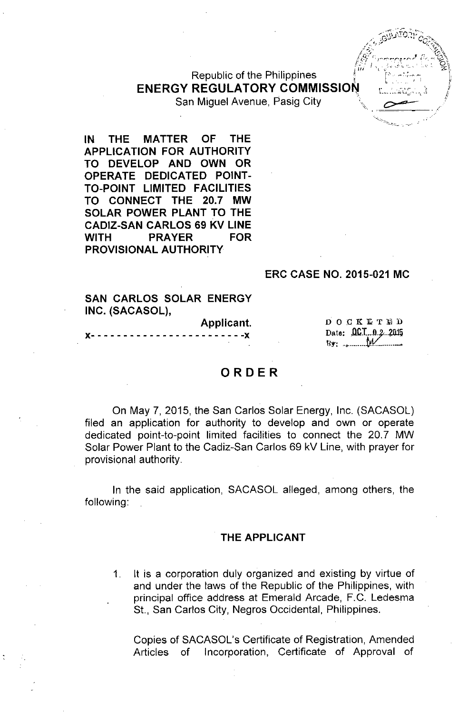# Republic of the Philippines **ENERGY REGULATORY COMMISSION**

San Miquel Avenue, Pasig City

**IN THE MATTER OF THE APPLICATION FOR AUTHORITY TO DEVELOP AND OWN OR OPERATE DEDICATED POINT-TO-POINT LIMITED FACILITIES TO CONNECT THE 20.7 MW SOLAR POWER PLANT TO THE CADIZ-SAN CARLOS 69 KV LINE WITH PRAYER FOR PROVISIONAL AUTHORITY**

#### **ERC CASE NO. 2015-021 MC**

### **SAN CARLOS SOLAR ENERGY INC. (SACASOL),**

#### **Applicant.**

**x- - - - - - - - - - - - - - - - - - - - - - - -x**

DOCKETHD Date: 00.1.0.2.2015  $By:$ 

## **ORDER**

On May 7, 2015, the San Carlos Solar Energy, Inc. (SACASOL) filed an application for authority to develop and own or operate dedicated point-to-point limited facilities to connect the 20.7 MW Solar Power Plant to the Cadiz-San Carlos 69 kV Line, with prayer for provisional authority.

**In** the said application, SACASOL alleged, among others, the following:

#### **THE APPLICANT**

1. It is a corporation duly organized and existing by virtue of and under the laws of the Republic of the Philippines, with principal office address at Emerald Arcade, F.G. Ledesma St., San Carlos City, Negros Occidental, Philippines.

Copies of SACASOL's Certificate of Registration, Amended Articles of Incorporation, Certificate of Approval of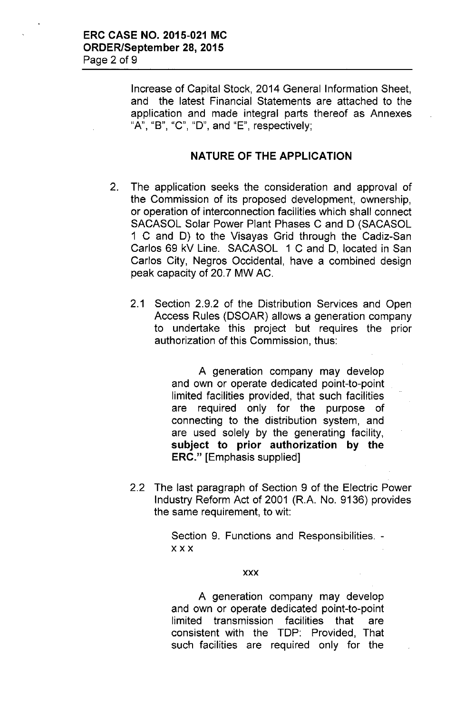Increase of Capital Stock, 2014 General Information Sheet, and the latest Financial Statements are attached to the application and made integral parts thereof as Annexes "A", "B", "C", "D", and "E", respectively;

## NATURE OF THE APPLICATION

- 2. The application seeks the consideration and approval of the Commission of its proposed development, ownership, or operation of interconnection facilities which shall connect SACASOL Solar Power Plant Phases C and D (SACASOL 1 C and D) to the Visayas Grid through the Cadiz-San Carlos 69 kV Line. SACASOL 1 C and D, located in San Carlos City, Negros Occidental, have a combined design peak capacity of 20.7 MW AC.
	- 2.1 Section 2.9.2 of the Distribution Services and Open Access Rules (DSOAR) allows a generation company to undertake this project but requires the prior authorization of this Commission, thus:

A generation company may develop and own or operate dedicated point-to-point limited facilities provided, that such facilities are required only for the purpose of connecting to the distribution system, and are used solely by the generating facility, subject to prior authorization by the ERC." [Emphasis supplied]

2.2 The last paragraph of Section 9 of the Electric Power Industry Reform Act of 2001 (R.A. No. 9136) provides the same requirement, to wit:

> Section 9. Functions and Responsibilities. xxx

#### xxx

A generation company may develop and own or operate dedicated point-to-point limited transmission facilities that are consistent with the TDP: Provided, That such facilities are required only for the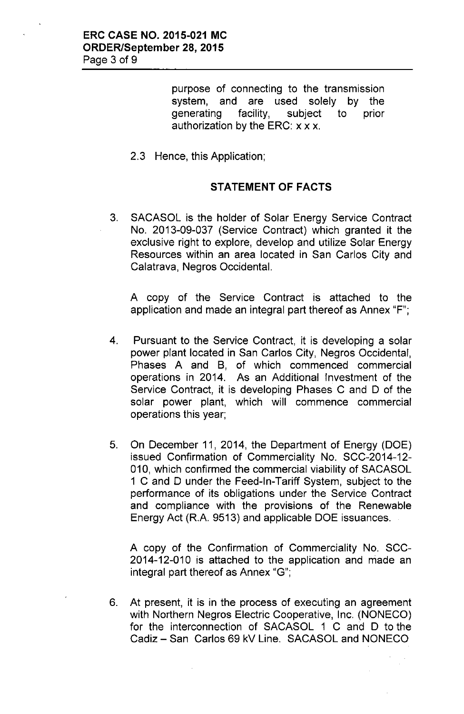purpose of connecting to the transmission system, and are used solely by the generating facility, subject to prior authorization by the ERC: x x x.

2.3 Hence, this Application;

## **STATEMENT OF FACTS**

3. SACASOL is the holder of Solar Energy Service Contract No. 2013-09-037 (Service Contract) which granted it the exclusive right to explore, develop and utilize Solar Energy Resources within an area located in San Carlos City and Calatrava, Negros Occidental.

A copy of the Service Contract is attached to the application and made an integral part thereof as Annex "F";

- 4. Pursuant to the Service Contract, it is developing a solar power plant located in San Carlos City, Negros Occidental, Phases A and B, of which commenced commercial operations in 2014. As an Additional Investment of the Service Contract, it is developing Phases C and D of the solar power plant, which will commence commercial operations this year;
- 5. On December 11, 2014, the Department of Energy (DOE) issued Confirmation of Commerciality No. SCC-2014-12- 010, which confirmed the commercial viability of SACASOL 1 C and D under the Feed-In-Tariff System, subject to the performance of its obligations under the Service Contract and compliance with the provisions of the Renewable Energy Act (R.A. 9513) and applicable DOE issuances.

A copy of the Confirmation of Commerciality No. SCC-2014-12-010 is attached to the application and made an integral part thereof as Annex "G";

6. At present, it is in the process of executing an agreement with Northern Negros Electric Cooperative, Inc. (NONECO) for the interconnection of SACASOL 1 C and D to the Cadiz - San Carlos 69 kV Line. SACASOL and NONECO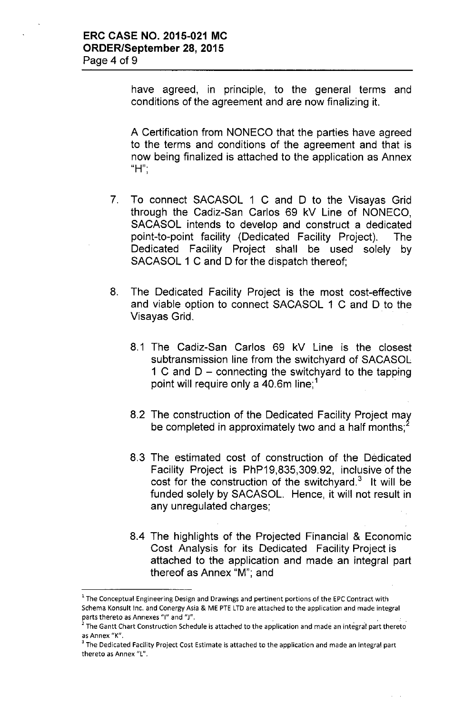have agreed, in principle, to the general terms and conditions of the agreement and are now finalizing it.

A Certification from NONECO that the parties have agreed to the terms and conditions of the agreement and that is now being finalized is attached to the application as Annex llH'" ,

- 7. To connect SACASOL 1 C and D to the Visayas Grid through the Cadiz-San Carlos 69 kV Line of NONECO, SACASOL intends to develop and construct a dedicated point-to-point facility (Dedicated Facility Project). The Dedicated Facility Project shall be used solely by SACASOL 1 C and D for the dispatch thereof;
- 8. The Dedicated Facility Project is the most cost-effective and viable option to connect SACASOL 1 C and D to the Visayas Grid.
	- 8.1 The Cadiz-San Carlos 69 kV Line is the closest subtransmission line from the switchyard of SACASOL 1 C and  $D$  – connecting the switchyard to the tapping point will require only a 40.6m line;<sup>1</sup>
	- 8.2 The construction of the Dedicated Facility Project *mat* be completed in approximately two and a half months;<sup>2</sup>
	- 8.3 The estimated cost of construction of the Dedicated Facility Project is PhP19,835,309.92, inclusive of the cost for the construction of the switchyard. $3$  It will be funded solely by SACASOL. Hence, it will not result in any unregulated charges;
	- 8.4 The highlights of the Projected Financial & Economic Cost Analysis for its Dedicated Facility Project is attached to the application and made an integral part thereof as Annex "M'", and

<sup>&</sup>lt;sup>1</sup> The Conceptual Engineering Design and Drawings and pertinent portions of the EPC Contract with Schema Konsult Inc. and Conergy Asia & ME PTE LTD are attached to the application and made integral parts thereto as Annexes "I" and "J".

 $<sup>2</sup>$  The Gantt Chart Construction Schedule is attached to the application and made an integral part thereto</sup> as Annex "K".

The Dedicated Facility Project Cost Estimate is attached to the application and made an integral part thereto as Annex "L".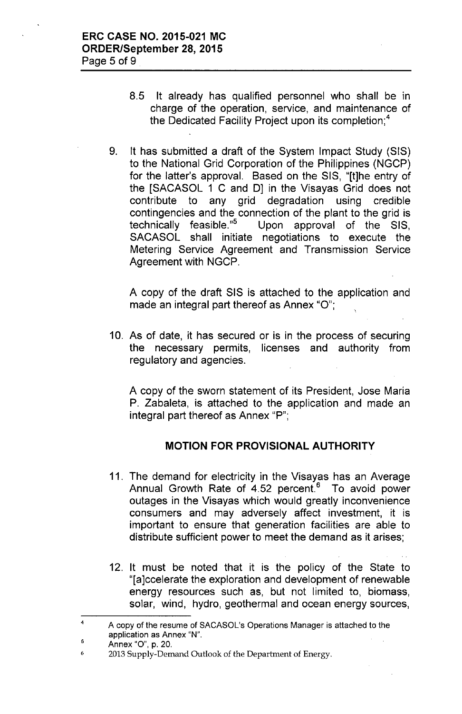- 8.5 It already has qualified personnel who shall be in charge of the operation, service, and maintenance of the Dedicated Facility Project upon its completion;<sup>4</sup>
- 9. It has submitted a draft of the System Impact Study (SIS) to the National Grid Corporation of the Philippines (NGCP) for the latter's approval. Based on the SIS, "(tjhe entry of the [SACASOL 1 C and D] in the Visayas Grid does not contribute to any grid degradation using credible contingencies and the connection of the plant to the grid is technically feasible."<sup>5</sup> Upon approval of the SIS, Upon approval of the SIS, SACASOL shall initiate negotiations to execute the Metering Service Agreement and Transmission Service Agreement with NGCP.

A copy of the draft SIS is attached to the application and made an integral part thereof as Annex "O";

10. As of date, it has secured or is in the process of securing the necessary permits, licenses and authority from regulatory and agencies.

A copy of the sworn statement of its President, Jose Maria P. Zabaleta, is attached to the application and made an integral part thereof as Annex "P";

## **MOTION FOR PROVISIONAL AUTHORITY**

- 11. The demand for electricity in the Visayas has an Average Annual Growth Rate of 4.52 percent.<sup>6</sup> To avoid power outages in the Visayas which would greatly inconvenience consumers and may adversely affect investment, it is important to ensure that generation facilities are able to distribute sufficient power to meet the demand as it arises;
- 12. It must be noted that it is the policy of the State to "(ajccelerate the exploration and development of renewable energy resources such as, but not limited to, biomass, solar, wind, hydro, geothermal and ocean energy sources,

<sup>4</sup> A copy of the resume of SACASOL's Operations Manager is attached to the application as Annex "N".

<sup>5</sup> Annex "0", p. 20.

<sup>6</sup> 2013 Supply-Demand Outlook of the Department of Energy.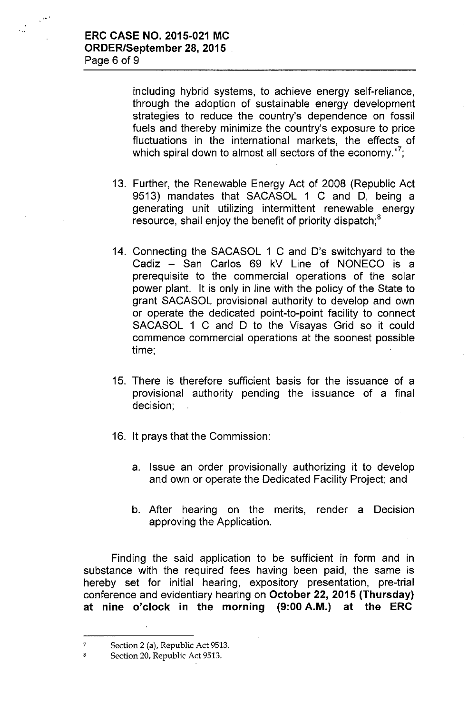$\mathbb{R}^{n}$ 

including hybrid systems, to achieve energy self-reliance, through the adoption of sustainable energy development strategies to reduce the country's dependence on fossil fuels and thereby minimize the country's exposure to price fluctuations in the international markets, the effects of which spiral down to almost all sectors of the economy."<sup>7</sup>;

- 13. Further, the Renewable Energy Act of 2008 (Republic Act 9513) mandates that SACASOL 1 C and D, being a generating unit utilizing intermittent renewable energy resource, shall enjoy the benefit of priority dispatch;<sup>8</sup>
- 14. Connecting the SACASOL 1 C and D's switchyard to the Cadiz - San Carlos 69 kV Line of NONECO is a prerequisite to the commercial operations of the solar power plant. It is only in line with the policy of the State to grant SACASOL provisional authority to develop and own or operate the dedicated point-to-point facility to connect SACASOL 1 C and D to the Visayas Grid so it could commence commercial operations at the soonest possible time;
- 15. There is therefore sufficient basis for the issuance of a provisional authority pending the issuance of a final decision;
- 16. It prays that the Commission:
	- a. Issue an order provisionally authorizing it to develop and own or operate the Dedicated Facility Project; and
	- b. After hearing on the merits, render a Decision approving the Application.

Finding the said application to be sufficient in form and in substance with the required fees having been paid, the same is hereby set for initial hearing, expository presentation, pre-trial conference and evidentiary hearing on October 22, 2015 (Thursday) at nine o'clock in the morning (9:00 A.M.) at the ERC

<sup>7</sup> Section 2 (a), Republic Act 9513.

<sup>8</sup> Section 20, Republic Act 9513.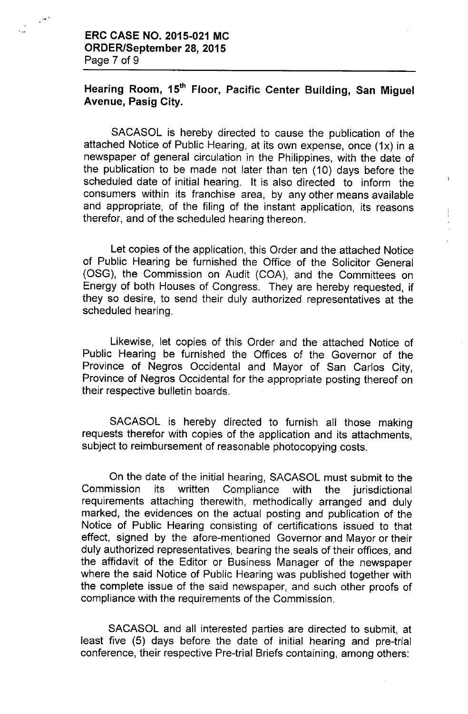## Hearing Room, 15<sup>th</sup> Floor, Pacific Center Building, San Miguel Avenue, Pasig City.

SACASOL is hereby directed to cause the publication of the attached Notice of Public Hearing, at its own expense, once (1x) in a newspaper of general circulation in the Philippines, with the date of the publication to be made not later than ten (10) days before the scheduled date of initial hearing. It is also directed to inform the consumers within its franchise area, by any other means available and appropriate, of the filing of the instant application, its reasons therefor, and of the scheduled hearing thereon.

 $\bar{1}$ 

Let copies of the application, this Order and the attached Notice of Public Hearing be furnished the Office of the Solicitor General (OSG), the Commission on Audit (COA), and the Committees on Energy of both Houses of Congress. They are hereby requested, if they so desire, to send their duly authorized representatives at the scheduled hearing.

Likewise, let copies of this Order and the attached Notice of Public Hearing be furnished the Offices of the Governor of the Province of Negros Occidental and Mayor of San Carlos City, Province of Negros Occidental for the appropriate posting thereof on their respective bulletin boards.

SACASOL is hereby directed to furnish all those making requests therefor with copies of the application and its attachments, subject to reimbursement of reasonable photocopying costs.

On the date of the initial hearing, SACASOL must submit to the Commission its written Compliance with the jurisdictional requirements attaching therewith, methodically arranged and duly marked, the evidences on the actual posting and publication of the Notice of Public Hearing consisting of certifications issued to that effect, signed by the afore-mentioned Governor and Mayor or their duly authorized representatives, bearing the seals of their offices, and the affidavit of the Editor or Business Manager of the newspaper where the said Notice of Public Hearing was published together with the complete issue of the said newspaper, and such other proofs of compliance with the requirements of the Commission.

SACASOL and all interested parties are directed to submit, at least five (5) days before the date of initial hearing and pre-trial conference, their respective Pre-trial Briefs containing, among others: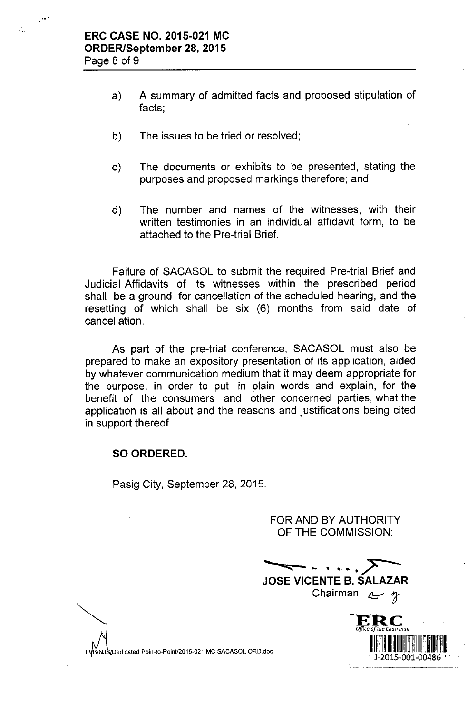- a) A summary of admitted facts and proposed stipulation of facts;
- b) The issues to be tried or resolved;
- c) The documents or exhibits to be presented, stating the purposes and proposed markings therefore; and
- d) The number and names of the witnesses, with their written testimonies in an individual affidavit form, to be attached to the Pre-trial Brief.

Failure of SACASOL to submit the required Pre-trial Brief and Judicial Affidavits of its witnesses within the prescribed period shall be a ground for cancellation of the scheduled hearing, and the resetting of which shall be six (6) months from said date of cancellation.

As part of the pre-trial conference, SACASOL must also be prepared to make an expository presentation of its application, aided by whatever communication medium that it may deem appropriate for the purpose, in order to put in plain words and explain, for the benefit of the consumers and other concerned parties, what the application is all about and the reasons and justifications being cited in support thereof.

## **SO ORDERED.**

Pasig City, September 28, 2015.

FOR AND BY AUTHORITY OF **THE** COMMISSION:

**••••• <:::: .•• - - • ••. • /" ~ JOSE VICENTE B. SALAZAR**

Chairman <sup>~</sup> *t*



VDedicated Poin-to-Point/2015-021 MC SACASOL ORD.doc